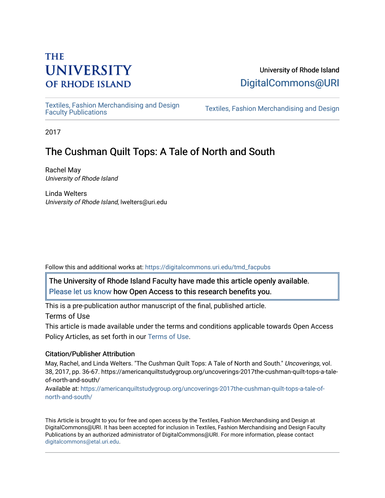# **THE UNIVERSITY OF RHODE ISLAND**

## University of Rhode Island [DigitalCommons@URI](https://digitalcommons.uri.edu/)

[Textiles, Fashion Merchandising and Design](https://digitalcommons.uri.edu/tmd_facpubs) 

Textiles, Fashion Merchandising and Design

2017

## The Cushman Quilt Tops: A Tale of North and South

Rachel May University of Rhode Island

Linda Welters University of Rhode Island, lwelters@uri.edu

Follow this and additional works at: [https://digitalcommons.uri.edu/tmd\\_facpubs](https://digitalcommons.uri.edu/tmd_facpubs?utm_source=digitalcommons.uri.edu%2Ftmd_facpubs%2F11&utm_medium=PDF&utm_campaign=PDFCoverPages) 

The University of Rhode Island Faculty have made this article openly available. [Please let us know](http://web.uri.edu/library-digital-initiatives/open-access-online-form/) how Open Access to this research benefits you.

This is a pre-publication author manuscript of the final, published article.

Terms of Use

This article is made available under the terms and conditions applicable towards Open Access Policy Articles, as set forth in our [Terms of Use](https://digitalcommons.uri.edu/tmd_facpubs/oa_policy_terms.html).

## Citation/Publisher Attribution

May, Rachel, and Linda Welters. "The Cushman Quilt Tops: A Tale of North and South." Uncoverings, vol. 38, 2017, pp. 36-67. https://americanquiltstudygroup.org/uncoverings-2017the-cushman-quilt-tops-a-taleof-north-and-south/

Available at: [https://americanquiltstudygroup.org/uncoverings-2017the-cushman-quilt-tops-a-tale-of](https://americanquiltstudygroup.org/uncoverings-2017the-cushman-quilt-tops-a-tale-of-north-and-south/)[north-and-south/](https://americanquiltstudygroup.org/uncoverings-2017the-cushman-quilt-tops-a-tale-of-north-and-south/) 

This Article is brought to you for free and open access by the Textiles, Fashion Merchandising and Design at DigitalCommons@URI. It has been accepted for inclusion in Textiles, Fashion Merchandising and Design Faculty Publications by an authorized administrator of DigitalCommons@URI. For more information, please contact [digitalcommons@etal.uri.edu](mailto:digitalcommons@etal.uri.edu).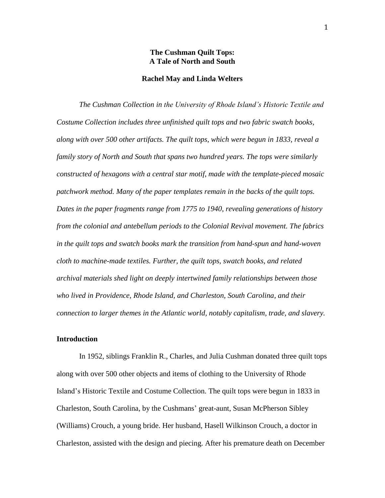#### **The Cushman Quilt Tops: A Tale of North and South**

#### **Rachel May and Linda Welters**

*The Cushman Collection in the University of Rhode Island's Historic Textile and Costume Collection includes three unfinished quilt tops and two fabric swatch books, along with over 500 other artifacts. The quilt tops, which were begun in 1833, reveal a family story of North and South that spans two hundred years. The tops were similarly constructed of hexagons with a central star motif, made with the template-pieced mosaic patchwork method. Many of the paper templates remain in the backs of the quilt tops. Dates in the paper fragments range from 1775 to 1940, revealing generations of history from the colonial and antebellum periods to the Colonial Revival movement. The fabrics in the quilt tops and swatch books mark the transition from hand-spun and hand-woven cloth to machine-made textiles. Further, the quilt tops, swatch books, and related archival materials shed light on deeply intertwined family relationships between those who lived in Providence, Rhode Island, and Charleston, South Carolina, and their connection to larger themes in the Atlantic world, notably capitalism, trade, and slavery.*

#### **Introduction**

In 1952, siblings Franklin R., Charles, and Julia Cushman donated three quilt tops along with over 500 other objects and items of clothing to the University of Rhode Island's Historic Textile and Costume Collection. The quilt tops were begun in 1833 in Charleston, South Carolina, by the Cushmans' great-aunt, Susan McPherson Sibley (Williams) Crouch, a young bride. Her husband, Hasell Wilkinson Crouch, a doctor in Charleston, assisted with the design and piecing. After his premature death on December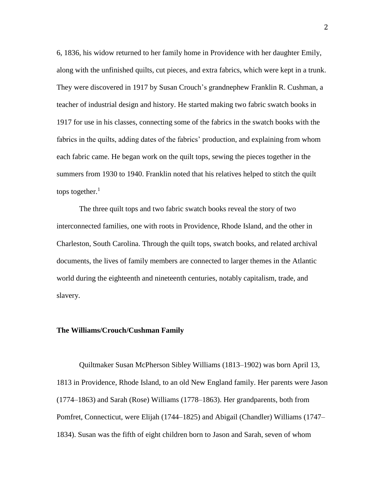6, 1836, his widow returned to her family home in Providence with her daughter Emily, along with the unfinished quilts, cut pieces, and extra fabrics, which were kept in a trunk. They were discovered in 1917 by Susan Crouch's grandnephew Franklin R. Cushman, a teacher of industrial design and history. He started making two fabric swatch books in 1917 for use in his classes, connecting some of the fabrics in the swatch books with the fabrics in the quilts, adding dates of the fabrics' production, and explaining from whom each fabric came. He began work on the quilt tops, sewing the pieces together in the summers from 1930 to 1940. Franklin noted that his relatives helped to stitch the quilt tops together. $1$ 

The three quilt tops and two fabric swatch books reveal the story of two interconnected families, one with roots in Providence, Rhode Island, and the other in Charleston, South Carolina. Through the quilt tops, swatch books, and related archival documents, the lives of family members are connected to larger themes in the Atlantic world during the eighteenth and nineteenth centuries, notably capitalism, trade, and slavery.

#### **The Williams/Crouch/Cushman Family**

Quiltmaker Susan McPherson Sibley Williams (1813–1902) was born April 13, 1813 in Providence, Rhode Island, to an old New England family. Her parents were Jason (1774–1863) and Sarah (Rose) Williams (1778–1863). Her grandparents, both from Pomfret, Connecticut, were Elijah (1744–1825) and Abigail (Chandler) Williams (1747– 1834). Susan was the fifth of eight children born to Jason and Sarah, seven of whom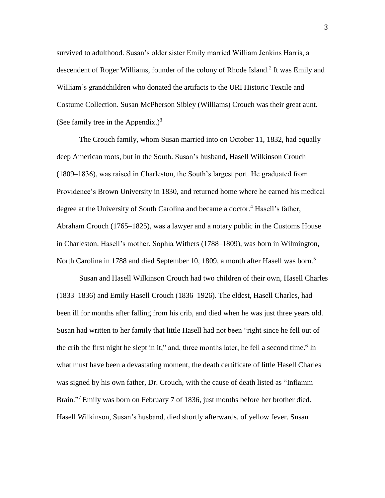survived to adulthood. Susan's older sister Emily married William Jenkins Harris, a descendent of Roger Williams, founder of the colony of Rhode Island.<sup>2</sup> It was Emily and William's grandchildren who donated the artifacts to the URI Historic Textile and Costume Collection. Susan McPherson Sibley (Williams) Crouch was their great aunt. (See family tree in the Appendix.)<sup>3</sup>

The Crouch family, whom Susan married into on October 11, 1832, had equally deep American roots, but in the South. Susan's husband, Hasell Wilkinson Crouch (1809–1836), was raised in Charleston, the South's largest port. He graduated from Providence's Brown University in 1830, and returned home where he earned his medical degree at the University of South Carolina and became a doctor.<sup>4</sup> Hasell's father, Abraham Crouch (1765–1825), was a lawyer and a notary public in the Customs House in Charleston. Hasell's mother, Sophia Withers (1788–1809), was born in Wilmington, North Carolina in 1788 and died September 10, 1809, a month after Hasell was born.<sup>5</sup>

Susan and Hasell Wilkinson Crouch had two children of their own, Hasell Charles (1833–1836) and Emily Hasell Crouch (1836–1926). The eldest, Hasell Charles, had been ill for months after falling from his crib, and died when he was just three years old. Susan had written to her family that little Hasell had not been "right since he fell out of the crib the first night he slept in it," and, three months later, he fell a second time.<sup>6</sup> In what must have been a devastating moment, the death certificate of little Hasell Charles was signed by his own father, Dr. Crouch, with the cause of death listed as "Inflamm Brain."<sup>7</sup> Emily was born on February 7 of 1836, just months before her brother died. Hasell Wilkinson, Susan's husband, died shortly afterwards, of yellow fever. Susan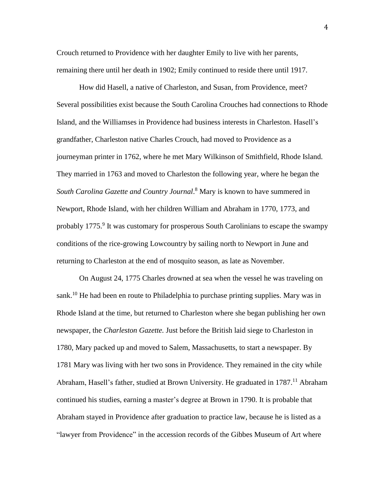Crouch returned to Providence with her daughter Emily to live with her parents, remaining there until her death in 1902; Emily continued to reside there until 1917.

How did Hasell, a native of Charleston, and Susan, from Providence, meet? Several possibilities exist because the South Carolina Crouches had connections to Rhode Island, and the Williamses in Providence had business interests in Charleston. Hasell's grandfather, Charleston native Charles Crouch, had moved to Providence as a journeyman printer in 1762, where he met Mary Wilkinson of Smithfield, Rhode Island. They married in 1763 and moved to Charleston the following year, where he began the *South Carolina Gazette and Country Journal*. <sup>8</sup> Mary is known to have summered in Newport, Rhode Island, with her children William and Abraham in 1770, 1773, and probably 1775.<sup>9</sup> It was customary for prosperous South Carolinians to escape the swampy conditions of the rice-growing Lowcountry by sailing north to Newport in June and returning to Charleston at the end of mosquito season, as late as November.

On August 24, 1775 Charles drowned at sea when the vessel he was traveling on sank.<sup>10</sup> He had been en route to Philadelphia to purchase printing supplies. Mary was in Rhode Island at the time, but returned to Charleston where she began publishing her own newspaper, the *Charleston Gazette.* Just before the British laid siege to Charleston in 1780, Mary packed up and moved to Salem, Massachusetts, to start a newspaper. By 1781 Mary was living with her two sons in Providence. They remained in the city while Abraham, Hasell's father, studied at Brown University. He graduated in 1787.<sup>11</sup> Abraham continued his studies, earning a master's degree at Brown in 1790. It is probable that Abraham stayed in Providence after graduation to practice law, because he is listed as a "lawyer from Providence" in the accession records of the Gibbes Museum of Art where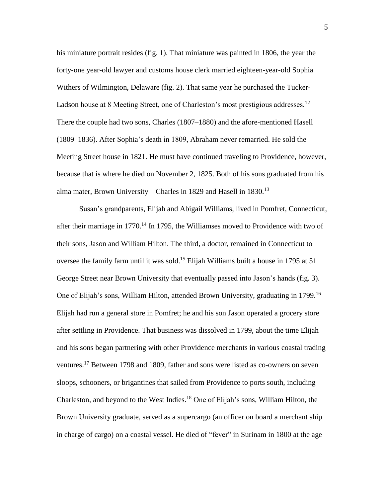his miniature portrait resides (fig. 1). That miniature was painted in 1806, the year the forty-one year-old lawyer and customs house clerk married eighteen-year-old Sophia Withers of Wilmington, Delaware (fig. 2). That same year he purchased the Tucker-Ladson house at 8 Meeting Street, one of Charleston's most prestigious addresses.<sup>12</sup> There the couple had two sons, Charles (1807–1880) and the afore-mentioned Hasell (1809–1836). After Sophia's death in 1809, Abraham never remarried. He sold the Meeting Street house in 1821. He must have continued traveling to Providence, however, because that is where he died on November 2, 1825. Both of his sons graduated from his alma mater, Brown University—Charles in 1829 and Hasell in 1830.<sup>13</sup>

Susan's grandparents, Elijah and Abigail Williams, lived in Pomfret, Connecticut, after their marriage in 1770.<sup>14</sup> In 1795, the Williamses moved to Providence with two of their sons, Jason and William Hilton. The third, a doctor, remained in Connecticut to oversee the family farm until it was sold.<sup>15</sup> Elijah Williams built a house in 1795 at 51 George Street near Brown University that eventually passed into Jason's hands (fig. 3). One of Elijah's sons, William Hilton, attended Brown University, graduating in 1799.<sup>16</sup> Elijah had run a general store in Pomfret; he and his son Jason operated a grocery store after settling in Providence. That business was dissolved in 1799, about the time Elijah and his sons began partnering with other Providence merchants in various coastal trading ventures.<sup>17</sup> Between 1798 and 1809, father and sons were listed as co-owners on seven sloops, schooners, or brigantines that sailed from Providence to ports south, including Charleston, and beyond to the West Indies. <sup>18</sup> One of Elijah's sons, William Hilton, the Brown University graduate, served as a supercargo (an officer on board a merchant ship in charge of cargo) on a coastal vessel. He died of "fever" in Surinam in 1800 at the age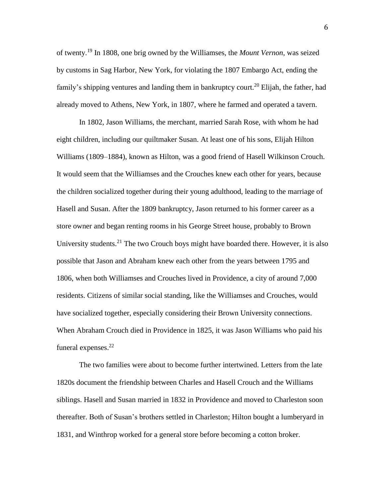of twenty. <sup>19</sup> In 1808, one brig owned by the Williamses, the *Mount Vernon*, was seized by customs in Sag Harbor, New York, for violating the 1807 Embargo Act, ending the family's shipping ventures and landing them in bankruptcy court.<sup>20</sup> Elijah, the father, had already moved to Athens, New York, in 1807, where he farmed and operated a tavern.

In 1802, Jason Williams, the merchant, married Sarah Rose, with whom he had eight children, including our quiltmaker Susan. At least one of his sons, Elijah Hilton Williams (1809–1884), known as Hilton, was a good friend of Hasell Wilkinson Crouch. It would seem that the Williamses and the Crouches knew each other for years, because the children socialized together during their young adulthood, leading to the marriage of Hasell and Susan. After the 1809 bankruptcy, Jason returned to his former career as a store owner and began renting rooms in his George Street house, probably to Brown University students.<sup>21</sup> The two Crouch boys might have boarded there. However, it is also possible that Jason and Abraham knew each other from the years between 1795 and 1806, when both Williamses and Crouches lived in Providence, a city of around 7,000 residents. Citizens of similar social standing, like the Williamses and Crouches, would have socialized together, especially considering their Brown University connections. When Abraham Crouch died in Providence in 1825, it was Jason Williams who paid his funeral expenses.<sup>22</sup>

The two families were about to become further intertwined. Letters from the late 1820s document the friendship between Charles and Hasell Crouch and the Williams siblings. Hasell and Susan married in 1832 in Providence and moved to Charleston soon thereafter. Both of Susan's brothers settled in Charleston; Hilton bought a lumberyard in 1831, and Winthrop worked for a general store before becoming a cotton broker.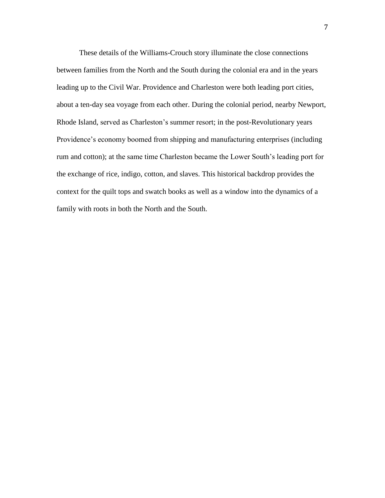These details of the Williams-Crouch story illuminate the close connections between families from the North and the South during the colonial era and in the years leading up to the Civil War. Providence and Charleston were both leading port cities, about a ten-day sea voyage from each other. During the colonial period, nearby Newport, Rhode Island, served as Charleston's summer resort; in the post-Revolutionary years Providence's economy boomed from shipping and manufacturing enterprises (including rum and cotton); at the same time Charleston became the Lower South's leading port for the exchange of rice, indigo, cotton, and slaves. This historical backdrop provides the context for the quilt tops and swatch books as well as a window into the dynamics of a family with roots in both the North and the South.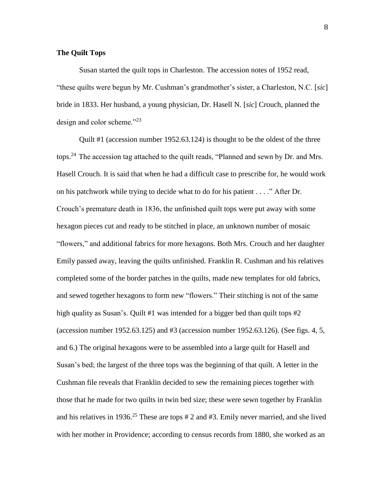#### **The Quilt Tops**

Susan started the quilt tops in Charleston. The accession notes of 1952 read, "these quilts were begun by Mr. Cushman's grandmother's sister, a Charleston, N.C. [*sic*] bride in 1833. Her husband, a young physician, Dr. Hasell N. [*sic*] Crouch, planned the design and color scheme."<sup>23</sup>

Quilt #1 (accession number 1952.63.124) is thought to be the oldest of the three tops.<sup>24</sup> The accession tag attached to the quilt reads, "Planned and sewn by Dr. and Mrs. Hasell Crouch. It is said that when he had a difficult case to prescribe for, he would work on his patchwork while trying to decide what to do for his patient . . . ." After Dr. Crouch's premature death in 1836, the unfinished quilt tops were put away with some hexagon pieces cut and ready to be stitched in place, an unknown number of mosaic "flowers," and additional fabrics for more hexagons. Both Mrs. Crouch and her daughter Emily passed away, leaving the quilts unfinished. Franklin R. Cushman and his relatives completed some of the border patches in the quilts, made new templates for old fabrics, and sewed together hexagons to form new "flowers." Their stitching is not of the same high quality as Susan's. Quilt #1 was intended for a bigger bed than quilt tops #2 (accession number 1952.63.125) and #3 (accession number 1952.63.126). (See figs. 4, 5, and 6.) The original hexagons were to be assembled into a large quilt for Hasell and Susan's bed; the largest of the three tops was the beginning of that quilt. A letter in the Cushman file reveals that Franklin decided to sew the remaining pieces together with those that he made for two quilts in twin bed size; these were sewn together by Franklin and his relatives in 1936. <sup>25</sup> These are tops # 2 and #3. Emily never married, and she lived with her mother in Providence; according to census records from 1880, she worked as an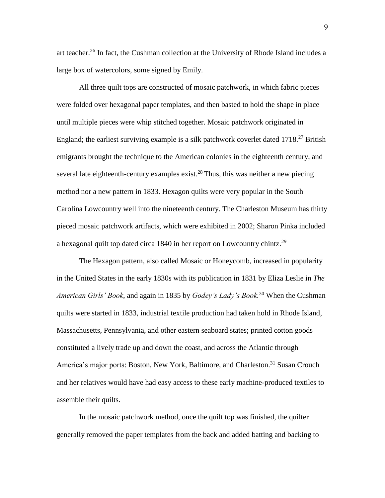art teacher.<sup>26</sup> In fact, the Cushman collection at the University of Rhode Island includes a large box of watercolors, some signed by Emily.

All three quilt tops are constructed of mosaic patchwork, in which fabric pieces were folded over hexagonal paper templates, and then basted to hold the shape in place until multiple pieces were whip stitched together. Mosaic patchwork originated in England; the earliest surviving example is a silk patchwork coverlet dated  $1718<sup>27</sup>$  British emigrants brought the technique to the American colonies in the eighteenth century, and several late eighteenth-century examples exist.<sup>28</sup> Thus, this was neither a new piecing method nor a new pattern in 1833. Hexagon quilts were very popular in the South Carolina Lowcountry well into the nineteenth century. The Charleston Museum has thirty pieced mosaic patchwork artifacts, which were exhibited in 2002; Sharon Pinka included a hexagonal quilt top dated circa 1840 in her report on Lowcountry chintz.<sup>29</sup>

The Hexagon pattern, also called Mosaic or Honeycomb, increased in popularity in the United States in the early 1830s with its publication in 1831 by Eliza Leslie in *The American Girls' Book*, and again in 1835 by *Godey's Lady's Book.*<sup>30</sup> When the Cushman quilts were started in 1833, industrial textile production had taken hold in Rhode Island, Massachusetts, Pennsylvania, and other eastern seaboard states; printed cotton goods constituted a lively trade up and down the coast, and across the Atlantic through America's major ports: Boston, New York, Baltimore, and Charleston.<sup>31</sup> Susan Crouch and her relatives would have had easy access to these early machine-produced textiles to assemble their quilts.

In the mosaic patchwork method, once the quilt top was finished, the quilter generally removed the paper templates from the back and added batting and backing to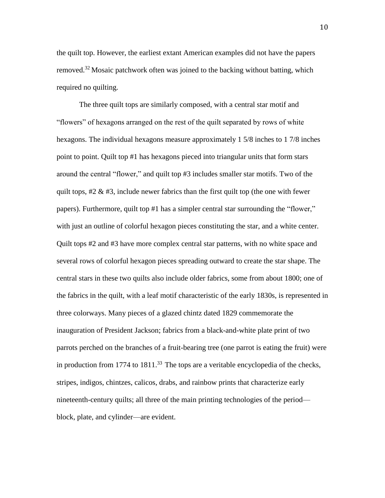the quilt top. However, the earliest extant American examples did not have the papers removed.<sup>32</sup> Mosaic patchwork often was joined to the backing without batting, which required no quilting.

The three quilt tops are similarly composed, with a central star motif and "flowers" of hexagons arranged on the rest of the quilt separated by rows of white hexagons. The individual hexagons measure approximately 1 5/8 inches to 1 7/8 inches point to point. Quilt top #1 has hexagons pieced into triangular units that form stars around the central "flower," and quilt top #3 includes smaller star motifs. Two of the quilt tops,  $\#2 \& \#3$ , include newer fabrics than the first quilt top (the one with fewer papers). Furthermore, quilt top #1 has a simpler central star surrounding the "flower," with just an outline of colorful hexagon pieces constituting the star, and a white center. Quilt tops #2 and #3 have more complex central star patterns, with no white space and several rows of colorful hexagon pieces spreading outward to create the star shape. The central stars in these two quilts also include older fabrics, some from about 1800; one of the fabrics in the quilt, with a leaf motif characteristic of the early 1830s, is represented in three colorways. Many pieces of a glazed chintz dated 1829 commemorate the inauguration of President Jackson; fabrics from a black-and-white plate print of two parrots perched on the branches of a fruit-bearing tree (one parrot is eating the fruit) were in production from 1774 to  $1811<sup>33</sup>$ . The tops are a veritable encyclopedia of the checks, stripes, indigos, chintzes, calicos, drabs, and rainbow prints that characterize early nineteenth-century quilts; all three of the main printing technologies of the period block, plate, and cylinder—are evident.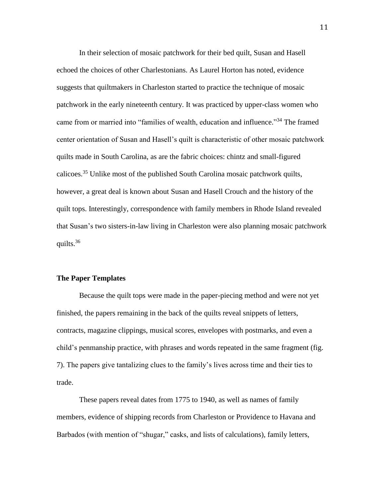In their selection of mosaic patchwork for their bed quilt, Susan and Hasell echoed the choices of other Charlestonians. As Laurel Horton has noted, evidence suggests that quiltmakers in Charleston started to practice the technique of mosaic patchwork in the early nineteenth century. It was practiced by upper-class women who came from or married into "families of wealth, education and influence."<sup>34</sup> The framed center orientation of Susan and Hasell's quilt is characteristic of other mosaic patchwork quilts made in South Carolina, as are the fabric choices: chintz and small-figured calicoes. <sup>35</sup> Unlike most of the published South Carolina mosaic patchwork quilts, however, a great deal is known about Susan and Hasell Crouch and the history of the quilt tops. Interestingly, correspondence with family members in Rhode Island revealed that Susan's two sisters-in-law living in Charleston were also planning mosaic patchwork quilts. 36

#### **The Paper Templates**

Because the quilt tops were made in the paper-piecing method and were not yet finished, the papers remaining in the back of the quilts reveal snippets of letters, contracts, magazine clippings, musical scores, envelopes with postmarks, and even a child's penmanship practice, with phrases and words repeated in the same fragment (fig. 7). The papers give tantalizing clues to the family's lives across time and their ties to trade.

These papers reveal dates from 1775 to 1940, as well as names of family members, evidence of shipping records from Charleston or Providence to Havana and Barbados (with mention of "shugar," casks, and lists of calculations), family letters,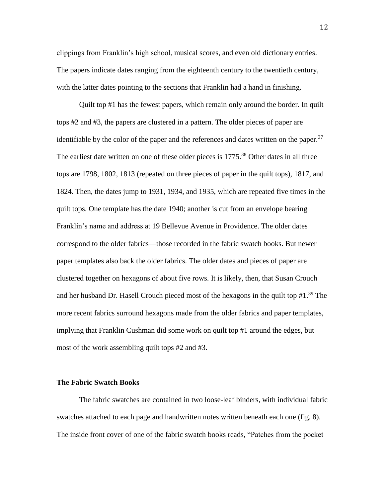clippings from Franklin's high school, musical scores, and even old dictionary entries. The papers indicate dates ranging from the eighteenth century to the twentieth century, with the latter dates pointing to the sections that Franklin had a hand in finishing.

Quilt top #1 has the fewest papers, which remain only around the border. In quilt tops #2 and #3, the papers are clustered in a pattern. The older pieces of paper are identifiable by the color of the paper and the references and dates written on the paper.<sup>37</sup> The earliest date written on one of these older pieces is 1775.<sup>38</sup> Other dates in all three tops are 1798, 1802, 1813 (repeated on three pieces of paper in the quilt tops), 1817, and 1824. Then, the dates jump to 1931, 1934, and 1935, which are repeated five times in the quilt tops. One template has the date 1940; another is cut from an envelope bearing Franklin's name and address at 19 Bellevue Avenue in Providence. The older dates correspond to the older fabrics—those recorded in the fabric swatch books. But newer paper templates also back the older fabrics. The older dates and pieces of paper are clustered together on hexagons of about five rows. It is likely, then, that Susan Crouch and her husband Dr. Hasell Crouch pieced most of the hexagons in the quilt top  $#1.^{39}$  The more recent fabrics surround hexagons made from the older fabrics and paper templates, implying that Franklin Cushman did some work on quilt top #1 around the edges, but most of the work assembling quilt tops #2 and #3.

#### **The Fabric Swatch Books**

The fabric swatches are contained in two loose-leaf binders, with individual fabric swatches attached to each page and handwritten notes written beneath each one (fig. 8). The inside front cover of one of the fabric swatch books reads, "Patches from the pocket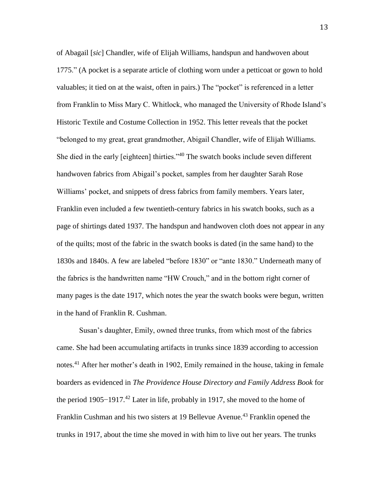of Abagail [*sic*] Chandler, wife of Elijah Williams, handspun and handwoven about 1775." (A pocket is a separate article of clothing worn under a petticoat or gown to hold valuables; it tied on at the waist, often in pairs.) The "pocket" is referenced in a letter from Franklin to Miss Mary C. Whitlock, who managed the University of Rhode Island's Historic Textile and Costume Collection in 1952. This letter reveals that the pocket "belonged to my great, great grandmother, Abigail Chandler, wife of Elijah Williams. She died in the early [eighteen] thirties."<sup>40</sup> The swatch books include seven different handwoven fabrics from Abigail's pocket, samples from her daughter Sarah Rose Williams' pocket, and snippets of dress fabrics from family members. Years later, Franklin even included a few twentieth-century fabrics in his swatch books, such as a page of shirtings dated 1937. The handspun and handwoven cloth does not appear in any of the quilts; most of the fabric in the swatch books is dated (in the same hand) to the 1830s and 1840s. A few are labeled "before 1830" or "ante 1830." Underneath many of the fabrics is the handwritten name "HW Crouch," and in the bottom right corner of many pages is the date 1917, which notes the year the swatch books were begun, written in the hand of Franklin R. Cushman.

Susan's daughter, Emily, owned three trunks, from which most of the fabrics came. She had been accumulating artifacts in trunks since 1839 according to accession notes.<sup>41</sup> After her mother's death in 1902, Emily remained in the house, taking in female boarders as evidenced in *The Providence House Directory and Family Address Book* for the period 1905−1917.<sup>42</sup> Later in life, probably in 1917, she moved to the home of Franklin Cushman and his two sisters at 19 Bellevue Avenue.<sup>43</sup> Franklin opened the trunks in 1917, about the time she moved in with him to live out her years. The trunks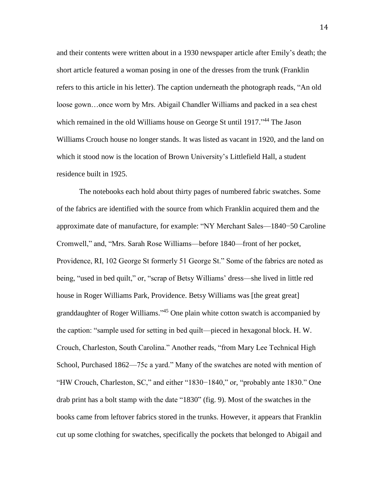and their contents were written about in a 1930 newspaper article after Emily's death; the short article featured a woman posing in one of the dresses from the trunk (Franklin refers to this article in his letter). The caption underneath the photograph reads, "An old loose gown…once worn by Mrs. Abigail Chandler Williams and packed in a sea chest which remained in the old Williams house on George St until 1917."<sup>44</sup> The Jason Williams Crouch house no longer stands. It was listed as vacant in 1920, and the land on which it stood now is the location of Brown University's Littlefield Hall, a student residence built in 1925.

The notebooks each hold about thirty pages of numbered fabric swatches. Some of the fabrics are identified with the source from which Franklin acquired them and the approximate date of manufacture, for example: "NY Merchant Sales—1840−50 Caroline Cromwell," and, "Mrs. Sarah Rose Williams—before 1840—front of her pocket, Providence, RI, 102 George St formerly 51 George St." Some of the fabrics are noted as being, "used in bed quilt," or, "scrap of Betsy Williams' dress—she lived in little red house in Roger Williams Park, Providence. Betsy Williams was [the great great] granddaughter of Roger Williams."<sup>45</sup> One plain white cotton swatch is accompanied by the caption: "sample used for setting in bed quilt—pieced in hexagonal block. H. W. Crouch, Charleston, South Carolina." Another reads, "from Mary Lee Technical High School, Purchased 1862—75c a yard." Many of the swatches are noted with mention of "HW Crouch, Charleston, SC," and either "1830−1840," or, "probably ante 1830." One drab print has a bolt stamp with the date "1830" (fig. 9). Most of the swatches in the books came from leftover fabrics stored in the trunks. However, it appears that Franklin cut up some clothing for swatches, specifically the pockets that belonged to Abigail and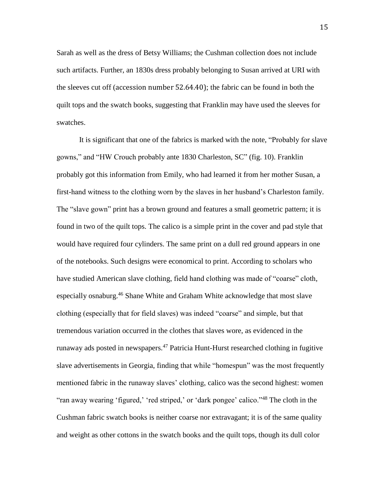Sarah as well as the dress of Betsy Williams; the Cushman collection does not include such artifacts. Further, an 1830s dress probably belonging to Susan arrived at URI with the sleeves cut off (accession number 52.64.40); the fabric can be found in both the quilt tops and the swatch books, suggesting that Franklin may have used the sleeves for swatches.

It is significant that one of the fabrics is marked with the note, "Probably for slave gowns," and "HW Crouch probably ante 1830 Charleston, SC" (fig. 10). Franklin probably got this information from Emily, who had learned it from her mother Susan, a first-hand witness to the clothing worn by the slaves in her husband's Charleston family. The "slave gown" print has a brown ground and features a small geometric pattern; it is found in two of the quilt tops. The calico is a simple print in the cover and pad style that would have required four cylinders. The same print on a dull red ground appears in one of the notebooks. Such designs were economical to print. According to scholars who have studied American slave clothing, field hand clothing was made of "coarse" cloth, especially osnaburg.<sup>46</sup> Shane White and Graham White acknowledge that most slave clothing (especially that for field slaves) was indeed "coarse" and simple, but that tremendous variation occurred in the clothes that slaves wore, as evidenced in the runaway ads posted in newspapers.<sup>47</sup> Patricia Hunt-Hurst researched clothing in fugitive slave advertisements in Georgia, finding that while "homespun" was the most frequently mentioned fabric in the runaway slaves' clothing, calico was the second highest: women "ran away wearing 'figured,' 'red striped,' or 'dark pongee' calico."<sup>48</sup> The cloth in the Cushman fabric swatch books is neither coarse nor extravagant; it is of the same quality and weight as other cottons in the swatch books and the quilt tops, though its dull color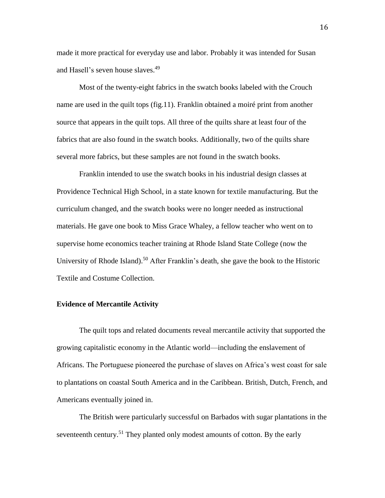made it more practical for everyday use and labor. Probably it was intended for Susan and Hasell's seven house slaves. 49

Most of the twenty-eight fabrics in the swatch books labeled with the Crouch name are used in the quilt tops (fig.11). Franklin obtained a moiré print from another source that appears in the quilt tops. All three of the quilts share at least four of the fabrics that are also found in the swatch books. Additionally, two of the quilts share several more fabrics, but these samples are not found in the swatch books.

Franklin intended to use the swatch books in his industrial design classes at Providence Technical High School, in a state known for textile manufacturing. But the curriculum changed, and the swatch books were no longer needed as instructional materials. He gave one book to Miss Grace Whaley, a fellow teacher who went on to supervise home economics teacher training at Rhode Island State College (now the University of Rhode Island).<sup>50</sup> After Franklin's death, she gave the book to the Historic Textile and Costume Collection.

#### **Evidence of Mercantile Activity**

The quilt tops and related documents reveal mercantile activity that supported the growing capitalistic economy in the Atlantic world—including the enslavement of Africans. The Portuguese pioneered the purchase of slaves on Africa's west coast for sale to plantations on coastal South America and in the Caribbean. British, Dutch, French, and Americans eventually joined in.

The British were particularly successful on Barbados with sugar plantations in the seventeenth century.<sup>51</sup> They planted only modest amounts of cotton. By the early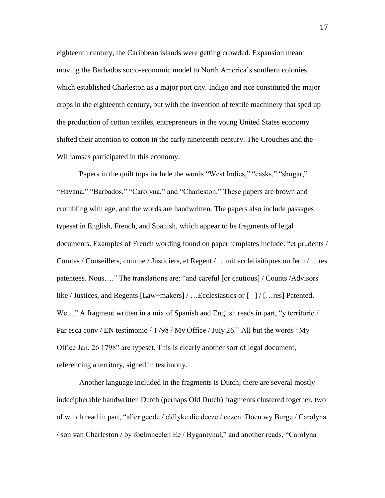eighteenth century, the Caribbean islands were getting crowded. Expansion meant moving the Barbados socio-economic model to North America's southern colonies, which established Charleston as a major port city. Indigo and rice constituted the major crops in the eighteenth century, but with the invention of textile machinery that sped up the production of cotton textiles, entrepreneurs in the young United States economy shifted their attention to cotton in the early nineteenth century. The Crouches and the Williamses participated in this economy.

Papers in the quilt tops include the words "West Indies," "casks," "shugar," "Havana," "Barbados," "Carolyna," and "Charleston." These papers are brown and crumbling with age, and the words are handwritten. The papers also include passages typeset in English, French, and Spanish, which appear to be fragments of legal documents. Examples of French wording found on paper templates include: "et prudents / Comtes / Conseillers, comme / Justiciers, et Regent / …mit ecclefiaitiques ou fecu / …res patentees. Nous…." The translations are: "and careful [or cautious] / Counts /Advisors like / Justices, and Regents [Law−makers] / …Ecclesiastics or [ ] / […res] Patented. We..." A fragment written in a mix of Spanish and English reads in part, "y territorio / Par esca conv / EN testimonio / 1798 / My Office / July 26." All but the words "My Office Jan. 26 1798" are typeset. This is clearly another sort of legal document, referencing a territory, signed in testimony.

Another language included in the fragments is Dutch; there are several mostly indecipherable handwritten Dutch (perhaps Old Dutch) fragments clustered together, two of which read in part, "aller geode / eldlyke die deeze / eezen: Doen wy Burge / Carolyna / son van Charleston / by foelmneelen Ee / Bygantynal," and another reads, "Carolyna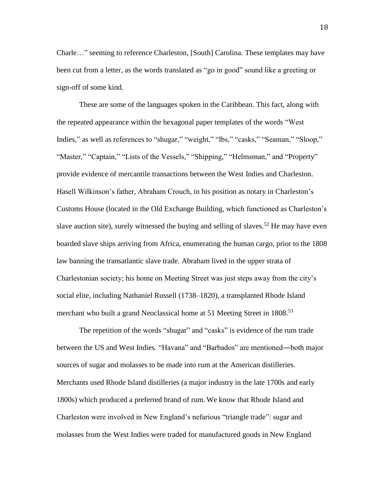Charle…" seeming to reference Charleston, [South] Carolina. These templates may have been cut from a letter, as the words translated as "go in good" sound like a greeting or sign-off of some kind.

These are some of the languages spoken in the Caribbean. This fact, along with the repeated appearance within the hexagonal paper templates of the words "West Indies," as well as references to "shugar," "weight," "lbs," "casks," "Seaman," "Sloop," "Master," "Captain," "Lists of the Vessels," "Shipping," "Helmsman," and "Property" provide evidence of mercantile transactions between the West Indies and Charleston. Hasell Wilkinson's father, Abraham Crouch, in his position as notary in Charleston's Customs House (located in the Old Exchange Building, which functioned as Charleston's slave auction site), surely witnessed the buying and selling of slaves.<sup>52</sup> He may have even boarded slave ships arriving from Africa, enumerating the human cargo, prior to the 1808 law banning the transatlantic slave trade. Abraham lived in the upper strata of Charlestonian society; his home on Meeting Street was just steps away from the city's social elite, including Nathaniel Russell (1738–1820), a transplanted Rhode Island merchant who built a grand Neoclassical home at 51 Meeting Street in 1808.<sup>53</sup>

The repetition of the words "shugar" and "casks" is evidence of the rum trade between the US and West Indies. "Havana" and "Barbados" are mentioned―both major sources of sugar and molasses to be made into rum at the American distilleries. Merchants used Rhode Island distilleries (a major industry in the late 1700s and early 1800s) which produced a preferred brand of rum. We know that Rhode Island and Charleston were involved in New England's nefarious "triangle trade": sugar and molasses from the West Indies were traded for manufactured goods in New England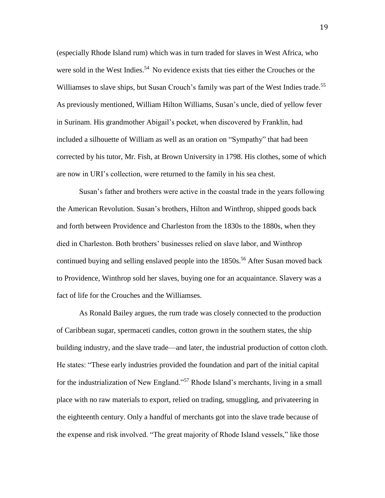(especially Rhode Island rum) which was in turn traded for slaves in West Africa, who were sold in the West Indies.<sup>54</sup> No evidence exists that ties either the Crouches or the Williamses to slave ships, but Susan Crouch's family was part of the West Indies trade.<sup>55</sup> As previously mentioned, William Hilton Williams, Susan's uncle, died of yellow fever in Surinam. His grandmother Abigail's pocket, when discovered by Franklin, had included a silhouette of William as well as an oration on "Sympathy" that had been corrected by his tutor, Mr. Fish, at Brown University in 1798. His clothes, some of which are now in URI's collection, were returned to the family in his sea chest.

Susan's father and brothers were active in the coastal trade in the years following the American Revolution. Susan's brothers, Hilton and Winthrop, shipped goods back and forth between Providence and Charleston from the 1830s to the 1880s, when they died in Charleston. Both brothers' businesses relied on slave labor, and Winthrop continued buying and selling enslaved people into the 1850s. <sup>56</sup> After Susan moved back to Providence, Winthrop sold her slaves, buying one for an acquaintance. Slavery was a fact of life for the Crouches and the Williamses.

As Ronald Bailey argues, the rum trade was closely connected to the production of Caribbean sugar, spermaceti candles, cotton grown in the southern states, the ship building industry, and the slave trade—and later, the industrial production of cotton cloth. He states: "These early industries provided the foundation and part of the initial capital for the industrialization of New England."<sup>57</sup> Rhode Island's merchants, living in a small place with no raw materials to export, relied on trading, smuggling, and privateering in the eighteenth century. Only a handful of merchants got into the slave trade because of the expense and risk involved. "The great majority of Rhode Island vessels," like those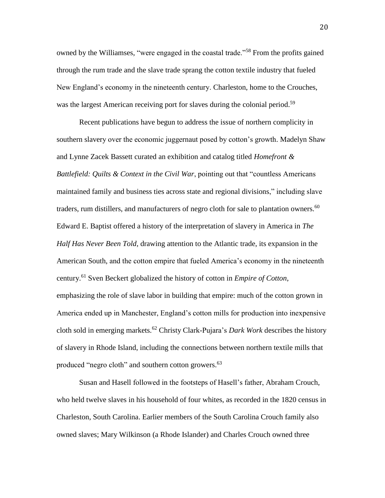owned by the Williamses, "were engaged in the coastal trade."<sup>58</sup> From the profits gained through the rum trade and the slave trade sprang the cotton textile industry that fueled New England's economy in the nineteenth century. Charleston, home to the Crouches, was the largest American receiving port for slaves during the colonial period.<sup>59</sup>

Recent publications have begun to address the issue of northern complicity in southern slavery over the economic juggernaut posed by cotton's growth. Madelyn Shaw and Lynne Zacek Bassett curated an exhibition and catalog titled *Homefront & Battlefield: Quilts & Context in the Civil War*, pointing out that "countless Americans maintained family and business ties across state and regional divisions," including slave traders, rum distillers, and manufacturers of negro cloth for sale to plantation owners.<sup>60</sup> Edward E. Baptist offered a history of the interpretation of slavery in America in *The Half Has Never Been Told*, drawing attention to the Atlantic trade, its expansion in the American South, and the cotton empire that fueled America's economy in the nineteenth century.<sup>61</sup> Sven Beckert globalized the history of cotton in *Empire of Cotton*, emphasizing the role of slave labor in building that empire: much of the cotton grown in America ended up in Manchester, England's cotton mills for production into inexpensive cloth sold in emerging markets.<sup>62</sup> Christy Clark-Pujara's *Dark Work* describes the history of slavery in Rhode Island, including the connections between northern textile mills that produced "negro cloth" and southern cotton growers.<sup>63</sup>

Susan and Hasell followed in the footsteps of Hasell's father, Abraham Crouch, who held twelve slaves in his household of four whites, as recorded in the 1820 census in Charleston, South Carolina. Earlier members of the South Carolina Crouch family also owned slaves; Mary Wilkinson (a Rhode Islander) and Charles Crouch owned three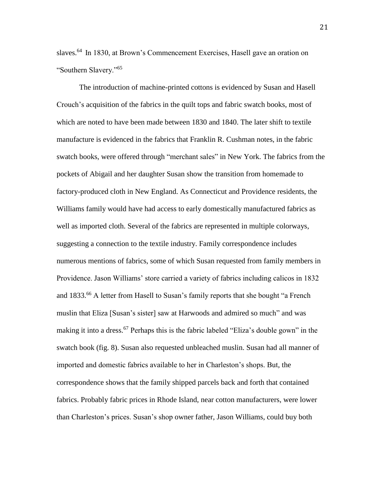slaves.<sup>64</sup> In 1830, at Brown's Commencement Exercises, Hasell gave an oration on "Southern Slavery."<sup>65</sup>

The introduction of machine-printed cottons is evidenced by Susan and Hasell Crouch's acquisition of the fabrics in the quilt tops and fabric swatch books, most of which are noted to have been made between 1830 and 1840. The later shift to textile manufacture is evidenced in the fabrics that Franklin R. Cushman notes, in the fabric swatch books, were offered through "merchant sales" in New York. The fabrics from the pockets of Abigail and her daughter Susan show the transition from homemade to factory-produced cloth in New England. As Connecticut and Providence residents, the Williams family would have had access to early domestically manufactured fabrics as well as imported cloth. Several of the fabrics are represented in multiple colorways, suggesting a connection to the textile industry. Family correspondence includes numerous mentions of fabrics, some of which Susan requested from family members in Providence. Jason Williams' store carried a variety of fabrics including calicos in 1832 and 1833.<sup>66</sup> A letter from Hasell to Susan's family reports that she bought "a French muslin that Eliza [Susan's sister] saw at Harwoods and admired so much" and was making it into a dress.<sup>67</sup> Perhaps this is the fabric labeled "Eliza's double gown" in the swatch book (fig. 8). Susan also requested unbleached muslin. Susan had all manner of imported and domestic fabrics available to her in Charleston's shops. But, the correspondence shows that the family shipped parcels back and forth that contained fabrics. Probably fabric prices in Rhode Island, near cotton manufacturers, were lower than Charleston's prices. Susan's shop owner father, Jason Williams, could buy both

21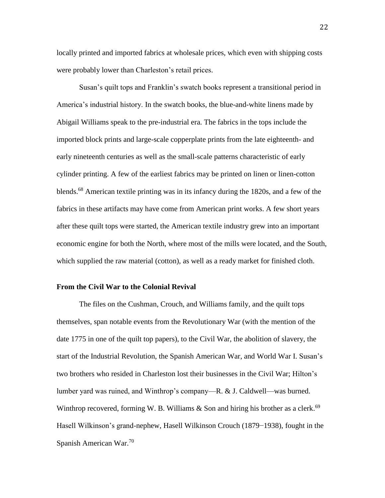locally printed and imported fabrics at wholesale prices, which even with shipping costs were probably lower than Charleston's retail prices.

Susan's quilt tops and Franklin's swatch books represent a transitional period in America's industrial history. In the swatch books, the blue-and-white linens made by Abigail Williams speak to the pre-industrial era. The fabrics in the tops include the imported block prints and large-scale copperplate prints from the late eighteenth- and early nineteenth centuries as well as the small-scale patterns characteristic of early cylinder printing. A few of the earliest fabrics may be printed on linen or linen-cotton blends.<sup>68</sup> American textile printing was in its infancy during the 1820s, and a few of the fabrics in these artifacts may have come from American print works. A few short years after these quilt tops were started, the American textile industry grew into an important economic engine for both the North, where most of the mills were located, and the South, which supplied the raw material (cotton), as well as a ready market for finished cloth.

### **From the Civil War to the Colonial Revival**

The files on the Cushman, Crouch, and Williams family, and the quilt tops themselves, span notable events from the Revolutionary War (with the mention of the date 1775 in one of the quilt top papers), to the Civil War, the abolition of slavery, the start of the Industrial Revolution, the Spanish American War, and World War I. Susan's two brothers who resided in Charleston lost their businesses in the Civil War; Hilton's lumber yard was ruined, and Winthrop's company—R. & J. Caldwell—was burned. Winthrop recovered, forming W. B. Williams  $\&$  Son and hiring his brother as a clerk.<sup>69</sup> Hasell Wilkinson's grand-nephew, Hasell Wilkinson Crouch (1879−1938), fought in the Spanish American War.<sup>70</sup>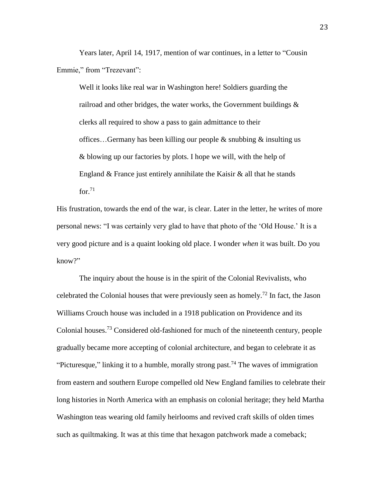Years later, April 14, 1917, mention of war continues, in a letter to "Cousin Emmie," from "Trezevant":

Well it looks like real war in Washington here! Soldiers guarding the railroad and other bridges, the water works, the Government buildings & clerks all required to show a pass to gain admittance to their offices…Germany has been killing our people & snubbing & insulting us & blowing up our factories by plots. I hope we will, with the help of England  $&$  France just entirely annihilate the Kaisir  $&$  all that he stands for  $71$ 

His frustration, towards the end of the war, is clear. Later in the letter, he writes of more personal news: "I was certainly very glad to have that photo of the 'Old House.' It is a very good picture and is a quaint looking old place. I wonder *when* it was built. Do you know?"

The inquiry about the house is in the spirit of the Colonial Revivalists, who celebrated the Colonial houses that were previously seen as homely.<sup>72</sup> In fact, the Jason Williams Crouch house was included in a 1918 publication on Providence and its Colonial houses.<sup>73</sup> Considered old-fashioned for much of the nineteenth century, people gradually became more accepting of colonial architecture, and began to celebrate it as "Picturesque," linking it to a humble, morally strong past.<sup>74</sup> The waves of immigration from eastern and southern Europe compelled old New England families to celebrate their long histories in North America with an emphasis on colonial heritage; they held Martha Washington teas wearing old family heirlooms and revived craft skills of olden times such as quiltmaking. It was at this time that hexagon patchwork made a comeback;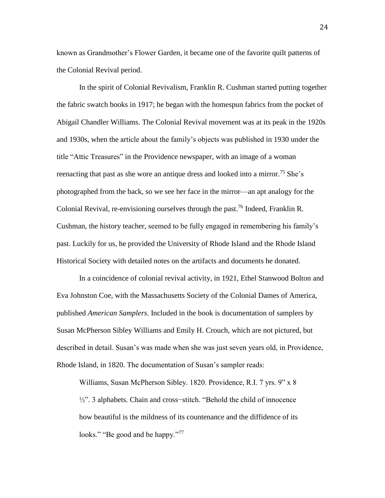known as Grandmother's Flower Garden, it became one of the favorite quilt patterns of the Colonial Revival period.

In the spirit of Colonial Revivalism, Franklin R. Cushman started putting together the fabric swatch books in 1917; he began with the homespun fabrics from the pocket of Abigail Chandler Williams. The Colonial Revival movement was at its peak in the 1920s and 1930s, when the article about the family's objects was published in 1930 under the title "Attic Treasures" in the Providence newspaper, with an image of a woman reenacting that past as she wore an antique dress and looked into a mirror.<sup>75</sup> She's photographed from the back, so we see her face in the mirror—an apt analogy for the Colonial Revival, re-envisioning ourselves through the past.<sup>76</sup> Indeed, Franklin R. Cushman, the history teacher, seemed to be fully engaged in remembering his family's past. Luckily for us, he provided the University of Rhode Island and the Rhode Island Historical Society with detailed notes on the artifacts and documents he donated.

In a coincidence of colonial revival activity, in 1921, Ethel Stanwood Bolton and Eva Johnston Coe, with the Massachusetts Society of the Colonial Dames of America, published *American Samplers*. Included in the book is documentation of samplers by Susan McPherson Sibley Williams and Emily H. Crouch, which are not pictured, but described in detail. Susan's was made when she was just seven years old, in Providence, Rhode Island, in 1820. The documentation of Susan's sampler reads:

Williams, Susan McPherson Sibley. 1820. Providence, R.I. 7 yrs. 9" x 8 ½". 3 alphabets. Chain and cross−stitch. "Behold the child of innocence how beautiful is the mildness of its countenance and the diffidence of its looks." "Be good and be happy."<sup>77</sup>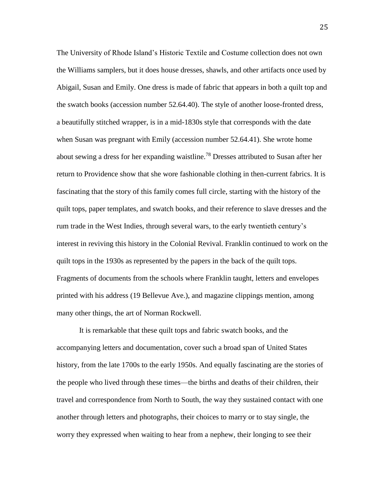The University of Rhode Island's Historic Textile and Costume collection does not own the Williams samplers, but it does house dresses, shawls, and other artifacts once used by Abigail, Susan and Emily. One dress is made of fabric that appears in both a quilt top and the swatch books (accession number 52.64.40). The style of another loose-fronted dress, a beautifully stitched wrapper, is in a mid-1830s style that corresponds with the date when Susan was pregnant with Emily (accession number 52.64.41). She wrote home about sewing a dress for her expanding waistline.<sup>78</sup> Dresses attributed to Susan after her return to Providence show that she wore fashionable clothing in then-current fabrics. It is fascinating that the story of this family comes full circle, starting with the history of the quilt tops, paper templates, and swatch books, and their reference to slave dresses and the rum trade in the West Indies, through several wars, to the early twentieth century's interest in reviving this history in the Colonial Revival. Franklin continued to work on the quilt tops in the 1930s as represented by the papers in the back of the quilt tops. Fragments of documents from the schools where Franklin taught, letters and envelopes printed with his address (19 Bellevue Ave.), and magazine clippings mention, among many other things, the art of Norman Rockwell.

It is remarkable that these quilt tops and fabric swatch books, and the accompanying letters and documentation, cover such a broad span of United States history, from the late 1700s to the early 1950s. And equally fascinating are the stories of the people who lived through these times—the births and deaths of their children, their travel and correspondence from North to South, the way they sustained contact with one another through letters and photographs, their choices to marry or to stay single, the worry they expressed when waiting to hear from a nephew, their longing to see their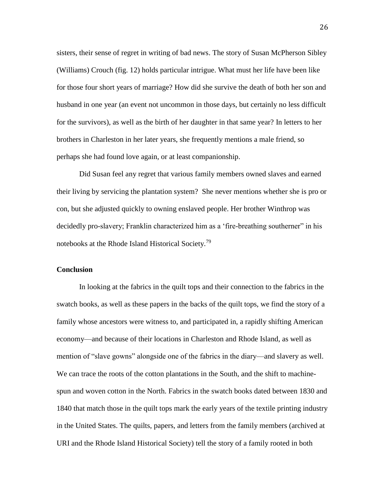sisters, their sense of regret in writing of bad news. The story of Susan McPherson Sibley (Williams) Crouch (fig. 12) holds particular intrigue. What must her life have been like for those four short years of marriage? How did she survive the death of both her son and husband in one year (an event not uncommon in those days, but certainly no less difficult for the survivors), as well as the birth of her daughter in that same year? In letters to her brothers in Charleston in her later years, she frequently mentions a male friend, so perhaps she had found love again, or at least companionship.

Did Susan feel any regret that various family members owned slaves and earned their living by servicing the plantation system? She never mentions whether she is pro or con, but she adjusted quickly to owning enslaved people. Her brother Winthrop was decidedly pro-slavery; Franklin characterized him as a 'fire-breathing southerner" in his notebooks at the Rhode Island Historical Society.<sup>79</sup>

### **Conclusion**

In looking at the fabrics in the quilt tops and their connection to the fabrics in the swatch books, as well as these papers in the backs of the quilt tops, we find the story of a family whose ancestors were witness to, and participated in, a rapidly shifting American economy—and because of their locations in Charleston and Rhode Island, as well as mention of "slave gowns" alongside one of the fabrics in the diary—and slavery as well. We can trace the roots of the cotton plantations in the South, and the shift to machinespun and woven cotton in the North. Fabrics in the swatch books dated between 1830 and 1840 that match those in the quilt tops mark the early years of the textile printing industry in the United States. The quilts, papers, and letters from the family members (archived at URI and the Rhode Island Historical Society) tell the story of a family rooted in both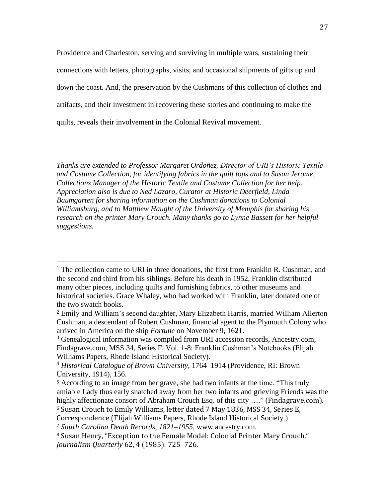Providence and Charleston, serving and surviving in multiple wars, sustaining their connections with letters, photographs, visits, and occasional shipments of gifts up and down the coast. And, the preservation by the Cushmans of this collection of clothes and artifacts, and their investment in recovering these stories and continuing to make the quilts, reveals their involvement in the Colonial Revival movement.

*Thanks are extended to Professor Margaret Ordoñez, Director of URI's Historic Textile and Costume Collection, for identifying fabrics in the quilt tops and to Susan Jerome, Collections Manager of the Historic Textile and Costume Collection for her help. Appreciation also is due to Ned Lazaro, Curator at Historic Deerfield, Linda Baumgarten for sharing information on the Cushman donations to Colonial Williamsburg, and to Matthew Haught of the University of Memphis for sharing his research on the printer Mary Crouch. Many thanks go to Lynne Bassett for her helpful suggestions.*

 $\overline{a}$ 

<sup>&</sup>lt;sup>1</sup> The collection came to URI in three donations, the first from Franklin R. Cushman, and the second and third from his siblings. Before his death in 1952, Franklin distributed many other pieces, including quilts and furnishing fabrics, to other museums and historical societies. Grace Whaley, who had worked with Franklin, later donated one of the two swatch books.

<sup>2</sup> Emily and William's second daughter, Mary Elizabeth Harris, married William Allerton Cushman, a descendant of Robert Cushman, financial agent to the Plymouth Colony who arrived in America on the ship *Fortune* on November 9, 1621.

<sup>&</sup>lt;sup>3</sup> Genealogical information was compiled from URI accession records, Ancestry.com, Findagrave.com, MSS 34, Series F, Vol. 1-8: Franklin Cushman's Notebooks (Elijah Williams Papers, Rhode Island Historical Society).

<sup>4</sup> *Historical Catalogue of Brown University*, 1764–1914 (Providence, RI: Brown University, 1914), 156.

<sup>5</sup> According to an image from her grave, she had two infants at the time. "This truly amiable Lady thus early snatched away from her two infants and grieving Friends was the highly affectionate consort of Abraham Crouch Esq. of this city ...." (Findagrave.com).

<sup>6</sup> Susan Crouch to Emily Williams, letter dated 7 May 1836, MSS 34, Series E,

Correspondence (Elijah Williams Papers, Rhode Island Historical Society.)

<sup>7</sup> *South Carolina Death Records, 1821–1955,* www.ancestry.com.

<sup>8</sup> Susan Henry, "Exception to the Female Model: Colonial Printer Mary Crouch," *Journalism Quarterly* 62, 4 (1985): 725*–*726.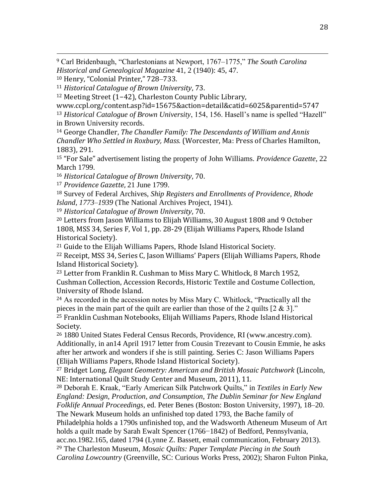<sup>9</sup> Carl Bridenbaugh, "Charlestonians at Newport, 1767*–*1775," *The South Carolina Historical and Genealogical Magazine* 41, 2 (1940): 45, 47.

<sup>10</sup> Henry, "Colonial Printer," 728*–*733.

 $\overline{a}$ 

<sup>11</sup> *Historical Catalogue of Brown University*, 73.

<sup>12</sup> Meeting Street (1−42), Charleston County Public Library,

www.ccpl.org/content.asp?id=15675&action=detail&catid=6025&parentid=5747 <sup>13</sup> *Historical Catalogue of Brown University*, 154, 156. Hasell's name is spelled "Hazell" in Brown University records.

<sup>14</sup> George Chandler, *The Chandler Family: The Descendants of William and Annis Chandler Who Settled in Roxbury, Mass.* (Worcester, Ma: Press of Charles Hamilton, 1883), 291.

<sup>15</sup> "For Sale" advertisement listing the property of John Williams. *Providence Gazette,* 22 March 1799.

<sup>16</sup> *Historical Catalogue of Brown University*, 70.

<sup>17</sup> *Providence Gazette*, 21 June 1799.

<sup>18</sup> Survey of Federal Archives, *Ship Registers and Enrollments of Providence, Rhode Island, 1773–1939* (The National Archives Project, 1941).

<sup>19</sup> *Historical Catalogue of Brown University*, 70.

<sup>20</sup> Letters from Jason Williams to Elijah Williams, 30 August 1808 and 9 October 1808, MSS 34, Series F, Vol 1, pp. 28-29 (Elijah Williams Papers, Rhode Island Historical Society).

<sup>21</sup> Guide to the Elijah Williams Papers, Rhode Island Historical Society.

<sup>22</sup> Receipt, MSS 34, Series C, Jason Williams' Papers (Elijah Williams Papers, Rhode Island Historical Society).

<sup>23</sup> Letter from Franklin R. Cushman to Miss Mary C. Whitlock, 8 March 1952, Cushman Collection, Accession Records, Historic Textile and Costume Collection, University of Rhode Island.

<sup>24</sup> As recorded in the accession notes by Miss Mary C. Whitlock, "Practically all the pieces in the main part of the quilt are earlier than those of the 2 quilts  $[2 \& 3]$ ." <sup>25</sup> Franklin Cushman Notebooks, Elijah Williams Papers, Rhode Island Historical Society.

<sup>26</sup> 1880 United States Federal Census Records, Providence, RI (www.ancestry.com). Additionally, in an14 April 1917 letter from Cousin Trezevant to Cousin Emmie, he asks after her artwork and wonders if she is still painting. Series C: Jason Williams Papers (Elijah Williams Papers, Rhode Island Historical Society).

<sup>27</sup> Bridget Long, *Elegant Geometry: American and British Mosaic Patchwork* (Lincoln, NE: International Quilt Study Center and Museum, 2011), 11.

<sup>28</sup> Deborah E. Kraak, "Early American Silk Patchwork Quilts," in *Textiles in Early New England: Design, Production, and Consumption*, *The Dublin Seminar for New England Folklife Annual Proceedings,* ed. Peter Benes (Boston: Boston University, 1997), 18–20. The Newark Museum holds an unfinished top dated 1793, the Bache family of

Philadelphia holds a 1790s unfinished top, and the Wadsworth Atheneum Museum of Art holds a quilt made by Sarah Ewalt Spencer (1766−1842) of Bedford, Pennsylvania,

acc.no.1982.165, dated 1794 (Lynne Z. Bassett, email communication, February 2013).

<sup>29</sup> The Charleston Museum, *Mosaic Quilts: Paper Template Piecing in the South Carolina Lowcountry* (Greenville, SC: Curious Works Press, 2002); Sharon Fulton Pinka,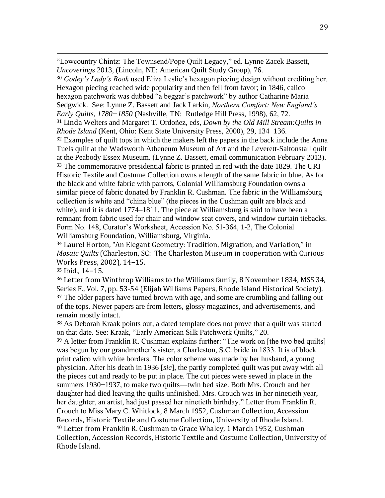"Lowcountry Chintz: The Townsend/Pope Quilt Legacy," ed. Lynne Zacek Bassett, *Uncoverings* 2013, (Lincoln, NE: American Quilt Study Group), 76. <sup>30</sup> *Godey's Lady's Book* used Eliza Leslie's hexagon piecing design without crediting her. Hexagon piecing reached wide popularity and then fell from favor; in 1846, calico hexagon patchwork was dubbed "a beggar's patchwork" by author Catharine Maria Sedgwick. See: Lynne Z. Bassett and Jack Larkin, *Northern Comfort: New England's Early Quilts, 1780−1850* (Nashville, TN: Rutledge Hill Press, 1998), 62, 72. <sup>31</sup> Linda Welters and Margaret T. Ordoñez, eds, *Down by the Old Mill Stream:Quilts in Rhode Island* (Kent, Ohio: Kent State University Press, 2000), 29, 134−136. <sup>32</sup> Examples of quilt tops in which the makers left the papers in the back include the Anna Tuels quilt at the Wadsworth Atheneum Museum of Art and the Leverett-Saltonstall quilt at the Peabody Essex Museum. (Lynne Z. Bassett, email communication February 2013). <sup>33</sup> The commemorative presidential fabric is printed in red with the date 1829. The URI Historic Textile and Costume Collection owns a length of the same fabric in blue. As for the black and white fabric with parrots, Colonial Williamsburg Foundation owns a similar piece of fabric donated by Franklin R. Cushman. The fabric in the Williamsburg collection is white and "china blue" (the pieces in the Cushman quilt are black and white), and it is dated 1774–1811. The piece at Williamsburg is said to have been a remnant from fabric used for chair and window seat covers, and window curtain tiebacks. Form No. 148, Curator's Worksheet, Accession No. 51-364, 1-2, The Colonial Williamsburg Foundation, Williamsburg, Virginia.

<sup>34</sup> Laurel Horton, "An Elegant Geometry: Tradition, Migration, and Variation," in *Mosaic Quilts* (Charleston, SC: The Charleston Museum in cooperation with Curious Works Press, 2002), 14−15.

<sup>35</sup> Ibid., 14−15.

 $\overline{a}$ 

<sup>36</sup> Letter from Winthrop Williams to the Williams family, 8 November 1834, MSS 34, Series F., Vol. 7, pp. 53-54 (Elijah Williams Papers, Rhode Island Historical Society). <sup>37</sup> The older papers have turned brown with age, and some are crumbling and falling out of the tops. Newer papers are from letters, glossy magazines, and advertisements, and remain mostly intact.

<sup>38</sup> As Deborah Kraak points out, a dated template does not prove that a quilt was started on that date. See: Kraak, "Early American Silk Patchwork Quilts," 20.

<sup>39</sup> A letter from Franklin R. Cushman explains further: "The work on [the two bed quilts] was begun by our grandmother's sister, a Charleston, S.C. bride in 1833. It is of block print calico with white borders. The color scheme was made by her husband, a young physician. After his death in 1936 [*sic*], the partly completed quilt was put away with all the pieces cut and ready to be put in place. The cut pieces were sewed in place in the summers 1930−1937, to make two quilts—twin bed size. Both Mrs. Crouch and her daughter had died leaving the quilts unfinished. Mrs. Crouch was in her ninetieth year, her daughter, an artist, had just passed her ninetieth birthday." Letter from Franklin R. Crouch to Miss Mary C. Whitlock, 8 March 1952, Cushman Collection, Accession Records, Historic Textile and Costume Collection, University of Rhode Island. <sup>40</sup> Letter from Franklin R. Cushman to Grace Whaley, 1 March 1952, Cushman Collection, Accession Records, Historic Textile and Costume Collection, University of Rhode Island.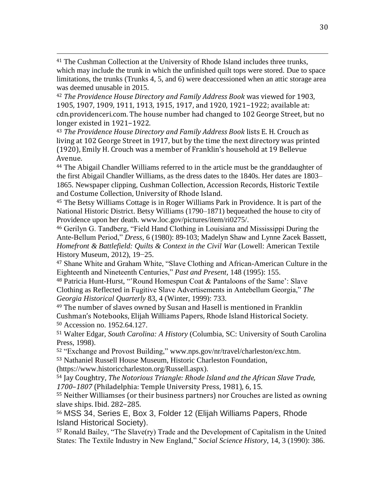<sup>41</sup> The Cushman Collection at the University of Rhode Island includes three trunks, which may include the trunk in which the unfinished quilt tops were stored. Due to space limitations, the trunks (Trunks 4, 5, and 6) were deaccessioned when an attic storage area was deemed unusable in 2015.

<sup>42</sup> *The Providence House Directory and Family Address Book* was viewed for 1903, 1905, 1907, 1909, 1911, 1913, 1915, 1917, and 1920, 1921−1922; available at: cdn.providenceri.com. The house number had changed to 102 George Street, but no longer existed in 1921−1922.

<sup>43</sup> *The Providence House Directory and Family Address Book* lists E. H. Crouch as living at 102 George Street in 1917, but by the time the next directory was printed (1920), Emily H. Crouch was a member of Franklin's household at 19 Bellevue Avenue.

<sup>44</sup> The Abigail Chandler Williams referred to in the article must be the granddaughter of the first Abigail Chandler Williams, as the dress dates to the 1840s. Her dates are 1803– 1865. Newspaper clipping, Cushman Collection, Accession Records, Historic Textile and Costume Collection, University of Rhode Island.

<sup>45</sup> The Betsy Williams Cottage is in Roger Williams Park in Providence. It is part of the National Historic District. Betsy Williams (1790–1871) bequeathed the house to city of Providence upon her death. www.loc.gov/pictures/item/ri0275/.

<sup>46</sup> Gerilyn G. Tandberg, "Field Hand Clothing in Louisiana and Mississippi During the Ante-Bellum Period," *Dress,* 6 (1980): 89-103; Madelyn Shaw and Lynne Zacek Bassett, *Homefront & Battlefield: Quilts & Context in the Civil War* (Lowell: American Textile History Museum, 2012), 19−25.

<sup>47</sup> Shane White and Graham White, "Slave Clothing and African-American Culture in the Eighteenth and Nineteenth Centuries," *Past and Present,* 148 (1995): 155.

<sup>48</sup> Patricia Hunt-Hurst, "'Round Homespun Coat & Pantaloons of the Same': Slave Clothing as Reflected in Fugitive Slave Advertisements in Antebellum Georgia," *The Georgia Historical Quarterly* 83, 4 (Winter, 1999): 733.

<sup>49</sup> The number of slaves owned by Susan and Hasell is mentioned in Franklin Cushman's Notebooks, Elijah Williams Papers, Rhode Island Historical Society. <sup>50</sup> Accession no. 1952.64.127.

<sup>51</sup> Walter Edgar, *South Carolina: A History* (Columbia, SC: University of South Carolina Press, 1998).

<sup>52</sup> "Exchange and Provost Building," www.nps.gov/nr/travel/charleston/exc.htm. <sup>53</sup> Nathaniel Russell House Museum, Historic Charleston Foundation,

(https://www.historiccharleston.org/Russell.aspx).

 $\overline{a}$ 

<sup>54</sup> Jay Coughtry, *The Notorious Triangle: Rhode Island and the African Slave Trade, 1700*–*1807* (Philadelphia: Temple University Press, 1981), 6, 15.

<sup>55</sup> Neither Williamses (or their business partners) nor Crouches are listed as owning slave ships. Ibid. 282–285.

<sup>56</sup> MSS 34, Series E, Box 3, Folder 12 (Elijah Williams Papers, Rhode Island Historical Society).

<sup>57</sup> Ronald Bailey, "The Slave(ry) Trade and the Development of Capitalism in the United States: The Textile Industry in New England," *Social Science History*, 14, 3 (1990): 386.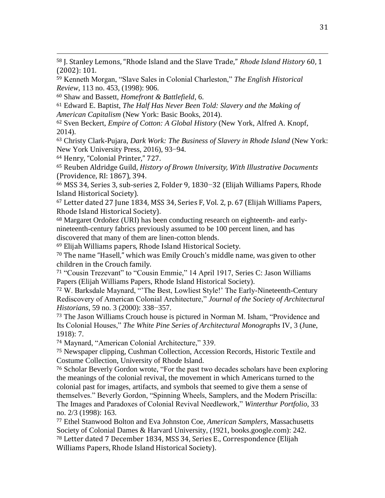<sup>58</sup> J. Stanley Lemons, "Rhode Island and the Slave Trade," *Rhode Island History* 60, 1 (2002): 101.

<sup>59</sup> Kenneth Morgan, "Slave Sales in Colonial Charleston," *The English Historical Review*, 113 no. 453, (1998): 906.

<sup>60</sup> Shaw and Bassett, *Homefront & Battlefield*, 6.

<sup>61</sup> Edward E. Baptist, *The Half Has Never Been Told: Slavery and the Making of American Capitalism* (New York: Basic Books, 2014).

<sup>62</sup> Sven Beckert, *Empire of Cotton: A Global History* (New York, Alfred A. Knopf, 2014).

<sup>63</sup> Christy Clark-Pujara, *Dark Work: The Business of Slavery in Rhode Island* (New York: New York University Press, 2016), 93−94.

<sup>64</sup> Henry, "Colonial Printer," 727.

 $\overline{a}$ 

<sup>65</sup> Reuben Aldridge Guild, *History of Brown University, With Illustrative Documents*  (Providence, RI: 1867), 394.

<sup>66</sup> MSS 34, Series 3, sub-series 2, Folder 9, 1830−32 (Elijah Williams Papers, Rhode Island Historical Society).

<sup>67</sup> Letter dated 27 June 1834, MSS 34, Series F, Vol. 2, p. 67 (Elijah Williams Papers, Rhode Island Historical Society).

<sup>68</sup> Margaret Ordoñez (URI) has been conducting research on eighteenth- and earlynineteenth-century fabrics previously assumed to be 100 percent linen, and has discovered that many of them are linen-cotton blends.

<sup>69</sup> Elijah Williams papers, Rhode Island Historical Society.

<sup>70</sup> The name "Hasell," which was Emily Crouch's middle name, was given to other children in the Crouch family.

<sup>71</sup> "Cousin Trezevant" to "Cousin Emmie," 14 April 1917, Series C: Jason Williams Papers (Elijah Williams Papers, Rhode Island Historical Society).

<sup>72</sup> W. Barksdale Maynard, "'The Best, Lowliest Style!' The Early-Nineteenth-Century Rediscovery of American Colonial Architecture," *Journal of the Society of Architectural Historians,* 59 no. 3 (2000): 338−357.

<sup>73</sup> The Jason Williams Crouch house is pictured in Norman M. Isham, "Providence and Its Colonial Houses," *The White Pine Series of Architectural Monographs* IV, 3 (June, 1918): 7.

<sup>74</sup> Maynard, "American Colonial Architecture," 339.

<sup>75</sup> Newspaper clipping, Cushman Collection, Accession Records, Historic Textile and Costume Collection, University of Rhode Island.

<sup>76</sup> Scholar Beverly Gordon wrote, "For the past two decades scholars have been exploring the meanings of the colonial revival, the movement in which Americans turned to the colonial past for images, artifacts, and symbols that seemed to give them a sense of themselves." Beverly Gordon, "Spinning Wheels, Samplers, and the Modern Priscilla: The Images and Paradoxes of Colonial Revival Needlework," *Winterthur Portfolio,* 33 no. 2/3 (1998): 163.

<sup>77</sup> Ethel Stanwood Bolton and Eva Johnston Coe, *American Samplers,* Massachusetts Society of Colonial Dames & Harvard University, (1921, books.google.com): 242. <sup>78</sup> Letter dated 7 December 1834, MSS 34, Series E., Correspondence (Elijah Williams Papers, Rhode Island Historical Society).